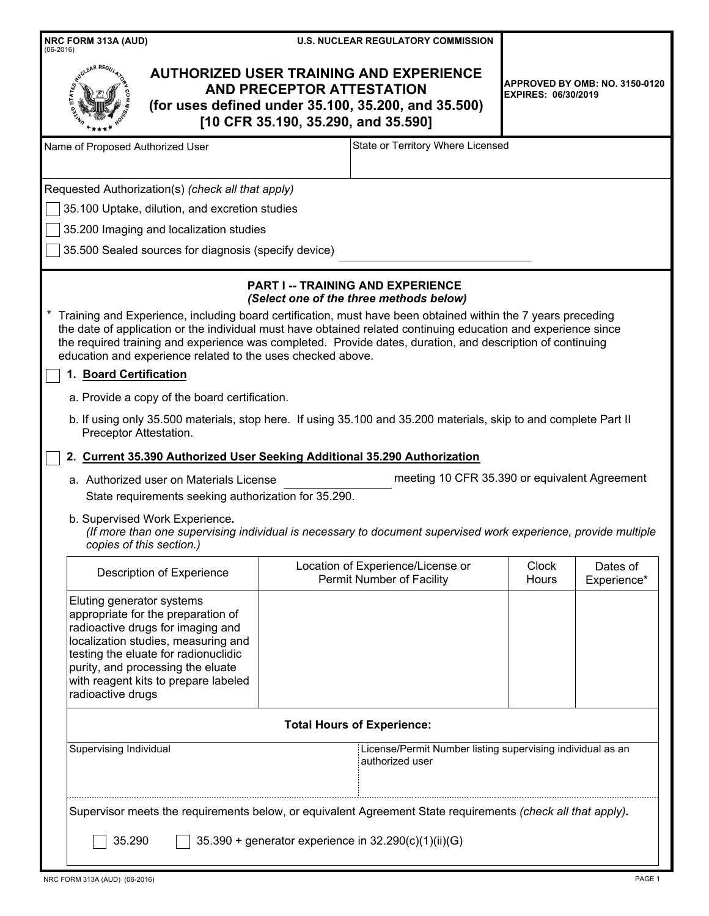| NRC FORM 313A (AUD)<br>$(06-2016)$                                                                                                                                                                                                                                                                                                                                                                                                                                                                                                                                                                                                                                                                                                                                                                                   | <b>U.S. NUCLEAR REGULATORY COMMISSION</b>                                                                                                                                        |                            |                                               |
|----------------------------------------------------------------------------------------------------------------------------------------------------------------------------------------------------------------------------------------------------------------------------------------------------------------------------------------------------------------------------------------------------------------------------------------------------------------------------------------------------------------------------------------------------------------------------------------------------------------------------------------------------------------------------------------------------------------------------------------------------------------------------------------------------------------------|----------------------------------------------------------------------------------------------------------------------------------------------------------------------------------|----------------------------|-----------------------------------------------|
|                                                                                                                                                                                                                                                                                                                                                                                                                                                                                                                                                                                                                                                                                                                                                                                                                      | <b>AUTHORIZED USER TRAINING AND EXPERIENCE</b><br><b>AND PRECEPTOR ATTESTATION</b><br>(for uses defined under 35.100, 35.200, and 35.500)<br>[10 CFR 35.190, 35.290, and 35.590] | <b>EXPIRES: 06/30/2019</b> | <b>APPROVED BY OMB: NO. 3150-0120</b>         |
| Name of Proposed Authorized User                                                                                                                                                                                                                                                                                                                                                                                                                                                                                                                                                                                                                                                                                                                                                                                     | State or Territory Where Licensed                                                                                                                                                |                            |                                               |
| Requested Authorization(s) (check all that apply)<br>35.100 Uptake, dilution, and excretion studies<br>35.200 Imaging and localization studies<br>35.500 Sealed sources for diagnosis (specify device)                                                                                                                                                                                                                                                                                                                                                                                                                                                                                                                                                                                                               |                                                                                                                                                                                  |                            |                                               |
| Training and Experience, including board certification, must have been obtained within the 7 years preceding<br>the date of application or the individual must have obtained related continuing education and experience since<br>the required training and experience was completed. Provide dates, duration, and description of continuing<br>education and experience related to the uses checked above.<br>1. Board Certification<br>a. Provide a copy of the board certification.<br>b. If using only 35.500 materials, stop here. If using 35.100 and 35.200 materials, skip to and complete Part II<br>Preceptor Attestation.<br>2. Current 35.390 Authorized User Seeking Additional 35.290 Authorization<br>a. Authorized user on Materials License<br>State requirements seeking authorization for 35.290. | <b>PART I -- TRAINING AND EXPERIENCE</b><br>(Select one of the three methods below)                                                                                              |                            | meeting 10 CFR 35.390 or equivalent Agreement |
| b. Supervised Work Experience.<br>copies of this section.)                                                                                                                                                                                                                                                                                                                                                                                                                                                                                                                                                                                                                                                                                                                                                           | (If more than one supervising individual is necessary to document supervised work experience, provide multiple                                                                   |                            |                                               |
| Description of Experience                                                                                                                                                                                                                                                                                                                                                                                                                                                                                                                                                                                                                                                                                                                                                                                            | Location of Experience/License or<br>Permit Number of Facility                                                                                                                   | <b>Clock</b><br>Hours      | Dates of<br>Experience*                       |
| Eluting generator systems<br>appropriate for the preparation of<br>radioactive drugs for imaging and<br>localization studies, measuring and<br>testing the eluate for radionuclidic<br>purity, and processing the eluate<br>with reagent kits to prepare labeled<br>radioactive drugs                                                                                                                                                                                                                                                                                                                                                                                                                                                                                                                                |                                                                                                                                                                                  |                            |                                               |
|                                                                                                                                                                                                                                                                                                                                                                                                                                                                                                                                                                                                                                                                                                                                                                                                                      | <b>Total Hours of Experience:</b>                                                                                                                                                |                            |                                               |
| Supervising Individual<br>Supervisor meets the requirements below, or equivalent Agreement State requirements (check all that apply).                                                                                                                                                                                                                                                                                                                                                                                                                                                                                                                                                                                                                                                                                | License/Permit Number listing supervising individual as an<br>authorized user                                                                                                    |                            |                                               |
| 35.290                                                                                                                                                                                                                                                                                                                                                                                                                                                                                                                                                                                                                                                                                                                                                                                                               | 35.390 + generator experience in 32.290(c)(1)(ii)(G)                                                                                                                             |                            |                                               |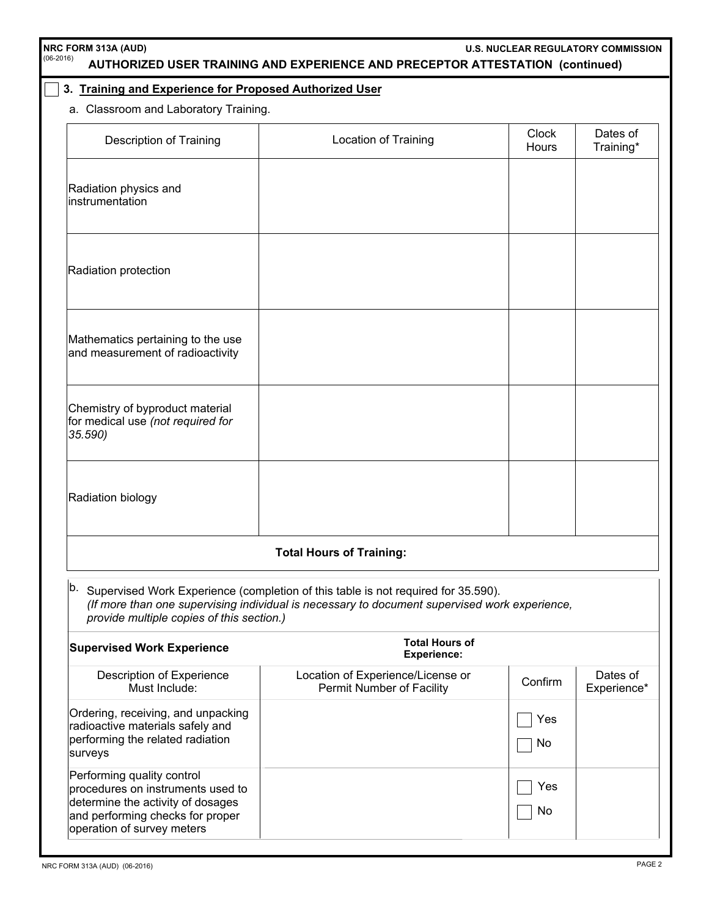| NRC FORM 313A (AUD)<br>(06-2016)                                                                                                                                       | AUTHORIZED USER TRAINING AND EXPERIENCE AND PRECEPTOR ATTESTATION (continued)                                                                                                                    | <b>U.S. NUCLEAR REGULATORY COMMISSION</b> |                         |
|------------------------------------------------------------------------------------------------------------------------------------------------------------------------|--------------------------------------------------------------------------------------------------------------------------------------------------------------------------------------------------|-------------------------------------------|-------------------------|
| 3. Training and Experience for Proposed Authorized User                                                                                                                |                                                                                                                                                                                                  |                                           |                         |
| a. Classroom and Laboratory Training.                                                                                                                                  |                                                                                                                                                                                                  |                                           |                         |
| Description of Training                                                                                                                                                | <b>Location of Training</b>                                                                                                                                                                      | <b>Clock</b><br><b>Hours</b>              | Dates of<br>Training*   |
| Radiation physics and<br>instrumentation                                                                                                                               |                                                                                                                                                                                                  |                                           |                         |
| Radiation protection                                                                                                                                                   |                                                                                                                                                                                                  |                                           |                         |
| Mathematics pertaining to the use<br>and measurement of radioactivity                                                                                                  |                                                                                                                                                                                                  |                                           |                         |
| Chemistry of byproduct material<br>for medical use (not required for<br>35.590)                                                                                        |                                                                                                                                                                                                  |                                           |                         |
| Radiation biology                                                                                                                                                      |                                                                                                                                                                                                  |                                           |                         |
|                                                                                                                                                                        | <b>Total Hours of Training:</b>                                                                                                                                                                  |                                           |                         |
| provide multiple copies of this section.)                                                                                                                              | <sup>b.</sup> Supervised Work Experience (completion of this table is not required for 35.590).<br>(If more than one supervising individual is necessary to document supervised work experience, |                                           |                         |
| <b>Supervised Work Experience</b>                                                                                                                                      | <b>Total Hours of</b><br><b>Experience:</b>                                                                                                                                                      |                                           |                         |
| Description of Experience<br>Must Include:                                                                                                                             | Location of Experience/License or<br>Permit Number of Facility                                                                                                                                   | Confirm                                   | Dates of<br>Experience* |
| Ordering, receiving, and unpacking<br>radioactive materials safely and<br>performing the related radiation<br>surveys                                                  |                                                                                                                                                                                                  | Yes<br>No                                 |                         |
| Performing quality control<br>procedures on instruments used to<br>determine the activity of dosages<br>and performing checks for proper<br>operation of survey meters |                                                                                                                                                                                                  | Yes<br>No                                 |                         |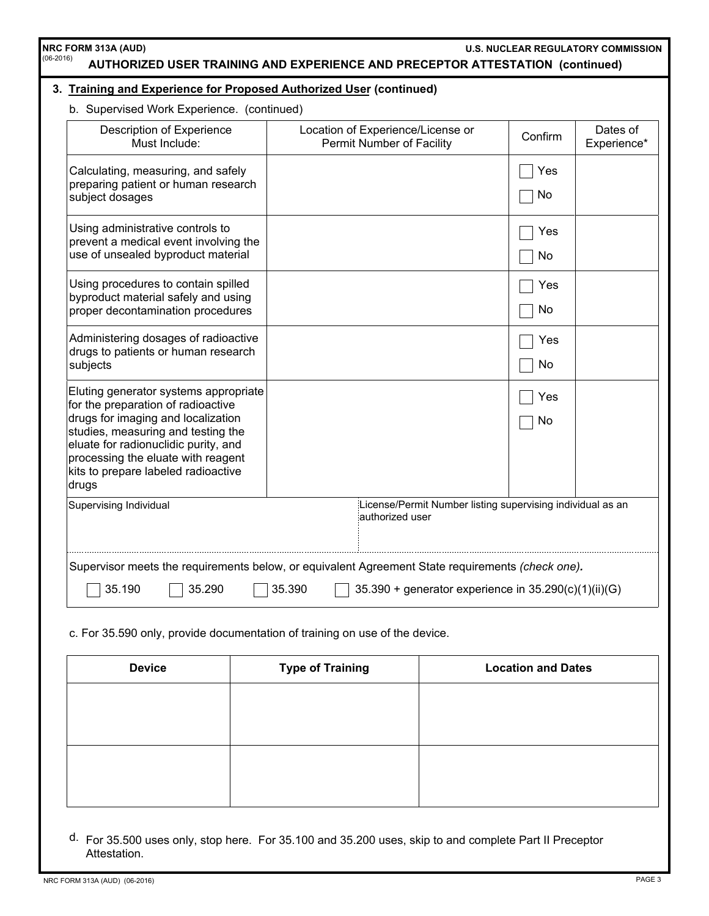| b. Supervised Work Experience. (continued)                                                                                                                                                                                                                                            |                                                                               |           |                         |
|---------------------------------------------------------------------------------------------------------------------------------------------------------------------------------------------------------------------------------------------------------------------------------------|-------------------------------------------------------------------------------|-----------|-------------------------|
| <b>Description of Experience</b><br>Must Include:                                                                                                                                                                                                                                     | Location of Experience/License or<br><b>Permit Number of Facility</b>         | Confirm   | Dates of<br>Experience* |
| Calculating, measuring, and safely<br>preparing patient or human research<br>subject dosages                                                                                                                                                                                          |                                                                               | Yes<br>No |                         |
| Using administrative controls to<br>prevent a medical event involving the<br>use of unsealed byproduct material                                                                                                                                                                       |                                                                               | Yes<br>No |                         |
| Using procedures to contain spilled<br>byproduct material safely and using<br>proper decontamination procedures                                                                                                                                                                       |                                                                               | Yes<br>No |                         |
| Administering dosages of radioactive<br>drugs to patients or human research<br>subjects                                                                                                                                                                                               |                                                                               | Yes<br>No |                         |
| Eluting generator systems appropriate<br>for the preparation of radioactive<br>drugs for imaging and localization<br>studies, measuring and testing the<br>eluate for radionuclidic purity, and<br>processing the eluate with reagent<br>kits to prepare labeled radioactive<br>drugs |                                                                               | Yes<br>No |                         |
| Supervising Individual                                                                                                                                                                                                                                                                | License/Permit Number listing supervising individual as an<br>authorized user |           |                         |

c. For 35.590 only, provide documentation of training on use of the device.

| <b>Device</b> | <b>Type of Training</b> | <b>Location and Dates</b> |
|---------------|-------------------------|---------------------------|
|               |                         |                           |
|               |                         |                           |
|               |                         |                           |
|               |                         |                           |
|               |                         |                           |

d. For 35.500 uses only, stop here. For 35.100 and 35.200 uses, skip to and complete Part II Preceptor Attestation.